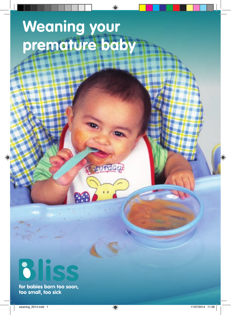# **Weaning your premature baby**

m

**Rurday** 



for babies born too soon,<br>too small, too sick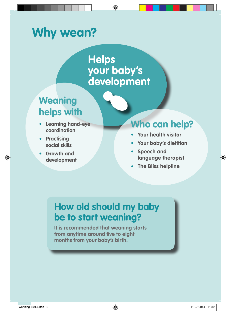# **Why wean?**

**Helps your baby's development**

# **Weaning helps with**

- **• Learning hand-eye coordination**
- **• Practising social skills**
- **• Growth and development**

# **Who can help?**

- **• Your health visitor**
- **• Your baby's dietitian**
- **• Speech and language therapist**
- **• The Bliss helpline**

## **How old should my baby be to start weaning?**

**It is recommended that weaning starts from anytime around five to eight months from your baby's birth.**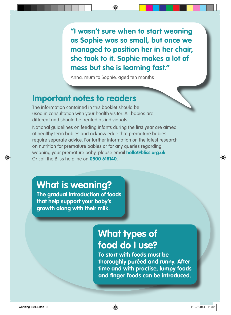**"I wasn't sure when to start weaning as Sophie was so small, but once we managed to position her in her chair, she took to it. Sophie makes a lot of mess but she is learning fast."**

Anna, mum to Sophie, aged ten months

### **Important notes to readers**

The information contained in this booklet should be used in consultation with your health visitor. All babies are different and should be treated as individuals.

National guidelines on feeding infants during the first year are aimed at healthy term babies and acknowledge that premature babies require separate advice. For further information on the latest research on nutrition for premature babies or for any queries regarding weaning your premature baby, please email **hello@bliss.org.uk** Or call the Bliss helpline on **0500 618140.**

**What is weaning?**

**The gradual introduction of foods that help support your baby's growth along with their milk.**

# **What types of food do I use?**

**To start with foods must be thoroughly puréed and runny. After time and with practise, lumpy foods and finger foods can be introduced.**

**Bliss 2014 – Weaning your premature baby 3**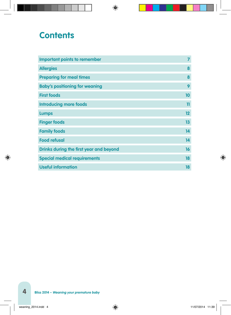### **Contents**

| <b>Important points to remember</b>     | 7       |
|-----------------------------------------|---------|
| <b>Allergies</b>                        | 8       |
| <b>Preparing for meal times</b>         | 8       |
| <b>Baby's positioning for weaning</b>   | 9       |
| <b>First foods</b>                      | 10      |
| <b>Introducing more foods</b>           | 11      |
| <b>Lumps</b>                            | $12 \,$ |
| <b>Finger foods</b>                     | 13      |
| <b>Family foods</b>                     | 14      |
| <b>Food refusal</b>                     | 14      |
| Drinks during the first year and beyond | 16      |
| <b>Special medical requirements</b>     | 18      |
| <b>Useful information</b>               | 18      |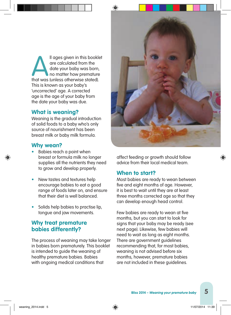Il ages given in this booklet<br>
are calculated from the<br>
date your baby was born,<br>
no matter how premature<br>
that was (unless otherwise stated). are calculated from the date your baby was born, no matter how premature This is known as your baby's 'uncorrected' age. A corrected age is the age of your baby from the date your baby was due.

#### **What is weaning?**

Weaning is the gradual introduction of solid foods to a baby who's only source of nourishment has been breast milk or baby milk formula.

#### **Why wean?**

- Babies reach a point when breast or formula milk no longer supplies all the nutrients they need to grow and develop properly.
- New tastes and textures help encourage babies to eat a good range of foods later on, and ensure that their diet is well balanced.
- Solids help babies to practise lip, tongue and jaw movements.

#### **Why treat premature babies differently?**

The process of weaning may take longer in babies born prematurely. This booklet is intended to guide the weaning of healthy premature babies. Babies with ongoing medical conditions that



affect feeding or growth should follow advice from their local medical team.

#### **When to start?**

Most babies are ready to wean between five and eight months of age. However, it is best to wait until they are at least three months corrected age so that they can develop enough head control.

Few babies are ready to wean at five months, but you can start to look for signs that your baby may be ready (see next page). Likewise, few babies will need to wait as long as eight months. There are government guidelines recommending that, for most babies, weaning is not advised before six months, however, premature babies are not included in these guidelines.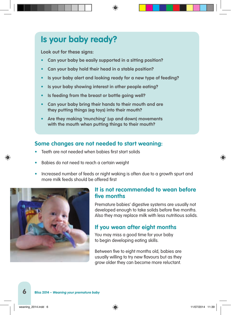### **Is your baby ready?**

**Look out for these signs:**

- **• Can your baby be easily supported in a sitting position?**
- **• Can your baby hold their head in a stable position?**
- **• Is your baby alert and looking ready for a new type of feeding?**
- **• Is your baby showing interest in other people eating?**
- **• Is feeding from the breast or bottle going well?**
- **• Can your baby bring their hands to their mouth and are they putting things (eg toys) into their mouth?**
- **• Are they making 'munching' (up and down) movements with the mouth when putting things to their mouth?**

### **Some changes are not needed to start weaning:**

- Teeth are not needed when babies first start solids
- Babies do not need to reach a certain weight
- Increased number of feeds or night waking is often due to a growth spurt and more milk feeds should be offered first



#### **It is not recommended to wean before five months**

Premature babies' digestive systems are usually not developed enough to take solids before five months. Also they may replace milk with less nutritious solids.

### **If you wean after eight months**

You may miss a good time for your baby to begin developing eating skills.

Between five to eight months old, babies are usually willing to try new flavours but as they grow older they can become more reluctant.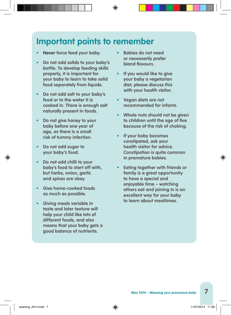### **Important points to remember**

- **• Never force feed your baby.**
- **• Do not add solids to your baby's bottle. To develop feeding skills properly, it is important for your baby to learn to take solid food separately from liquids.**
- **• Do not add salt to your baby's food or to the water it is cooked in. There is enough salt naturally present in foods.**
- **• Do not give honey to your baby before one year of age, as there is a small risk of tummy infection.**
- **• Do not add sugar to your baby's food.**
- **• Do not add chilli to your baby's food to start off with, but herbs, onion, garlic and spices are okay.**
- **• Give home-cooked foods as much as possible.**
- **• Giving meals variable in taste and later texture will help your child like lots of different foods, and also means that your baby gets a good balance of nutrients.**
- **• Babies do not need or necessarily prefer bland flavours.**
- **• If you would like to give your baby a vegetarian diet, please discuss this with your health visitor.**
- **• Vegan diets are not recommended for infants.**
- **• Whole nuts should not be given to children until the age of five because of the risk of choking.**
- **• If your baby becomes constipated, ask your health visitor for advice. Constipation is quite common in premature babies.**
- **• Eating together with friends or family is a great opportunity to have a special and enjoyable time – watching others eat and joining in is an excellent way for your baby to learn about mealtimes.**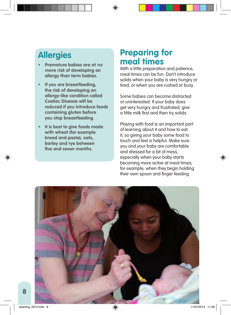### **Allergies**

- **• Premature babies are at no more risk of developing an allergy than term babies.**
- **• If you are breastfeeding, the risk of developing an allergy-like condition called Coeliac Disease will be reduced if you introduce foods containing gluten before you stop breastfeeding.**
- **• It is best to give foods made with wheat (for example bread and pasta), oats, barley and rye between five and seven months.**

### **Preparing for meal times**

With a little preparation and patience, meal times can be fun. Don't introduce solids when your baby is very hungry or tired, or when you are rushed or busy.

Some babies can become distracted or uninterested. If your baby does get very hungry and frustrated, give a little milk first and then try solids.

Playing with food is an important part of learning about it and how to eat it, so giving your baby some food to touch and feel is helpful. Make sure you and your baby are comfortable and dressed for a bit of mess, especially when your baby starts becoming more active at meal times; for example, when they begin holding their own spoon and finger feeding.

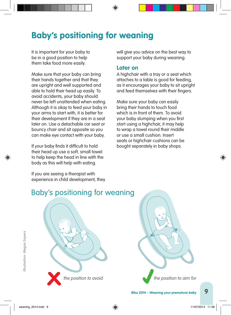# **Baby's positioning for weaning**

It is important for your baby to be in a good position to help them take food more easily.

Make sure that your baby can bring their hands together and that they are upright and well supported and able to hold their head up easily. To avoid accidents, your baby should never be left unattended when eating. Although it is okay to feed your baby in your arms to start with, it is better for their development if they are in a seat later on. Use a detachable car seat or bouncy chair and sit opposite so you can make eye contact with your baby.

If your baby finds it difficult to hold their head up use a soft, small towel to help keep the head in line with the body as this will help with eating.

If you are seeing a therapist with experience in child development, they

will give you advice on the best way to support your baby during weaning.

#### **Later on**

A highchair with a tray or a seat which attaches to a table is good for feeding, as it encourages your baby to sit upright and feed themselves with their fingers.

Make sure your baby can easily bring their hands to touch food which is in front of them. To avoid your baby slumping when you first start using a highchair, it may help to wrap a towel round their middle or use a small cushion. Insert seats or highchair cushions can be bought separately in baby shops.

### Baby's positioning for weaning



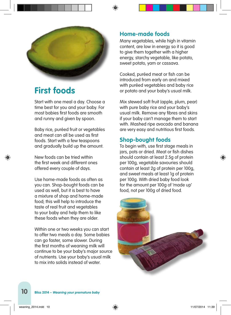

### **First foods**

Start with one meal a day. Choose a time best for you and your baby. For most babies first foods are smooth and runny and given by spoon.

Baby rice, puréed fruit or vegetables and meat can all be used as first foods. Start with a few teaspoons and gradually build up the amount.

New foods can be tried within the first week and different ones offered every couple of days.

Use home-made foods as often as you can. Shop-bought foods can be used as well, but it is best to have a mixture of shop and home-made food; this will help to introduce the taste of real fruit and vegetables to your baby and help them to like these foods when they are older.

Within one or two weeks you can start to offer two meals a day. Some babies can go faster, some slower. During the first months of weaning milk will continue to be your baby's major source of nutrients. Use your baby's usual milk to mix into solids instead of water.

### **Home-made foods**

Many vegetables, while high in vitamin content, are low in energy so it is good to give them together with a higher energy, starchy vegetable, like potato, sweet potato, yam or cassava.

Cooked, puréed meat or fish can be introduced from early on and mixed with puréed vegetables and baby rice or potato and your baby's usual milk.

Mix stewed soft fruit (apple, plum, pear) with pure baby rice and your baby's usual milk. Remove any fibres and skins if your baby can't manage them to start with. Mashed ripe avocado and banana are very easy and nutritious first foods.

### **Shop-bought foods**

To begin with, use first stage meals in jars, pots or dried. Meat or fish dishes should contain at least 2.5g of protein per 100g, vegetable savouries should contain at least 2g of protein per 100g, and sweet meals at least 1g of protein per 100g. With dried baby food look for the amount per 100g of 'made up' food, not per 100g of dried food.

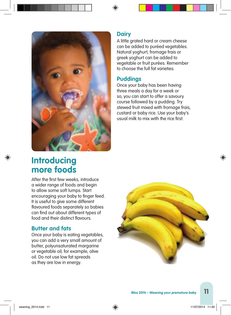

### **Dairy**

A little grated hard or cream cheese can be added to puréed vegetables. Natural yoghurt, fromage frais or greek yoghurt can be added to vegetable or fruit purées. Remember to choose the full fat varieties.

### **Puddings**

Once your baby has been having three meals a day for a week or so, you can start to offer a savoury course followed by a pudding. Try stewed fruit mixed with fromage frais, custard or baby rice. Use your baby's usual milk to mix with the rice first.

### **Introducing more foods**

After the first few weeks, introduce a wider range of foods and begin to allow some soft lumps. Start encouraging your baby to finger feed. It is useful to give some different flavoured foods separately so babies can find out about different types of food and their distinct flavours.

### **Butter and fats**

Once your baby is eating vegetables, you can add a very small amount of butter, polyunsaturated margarine or vegetable oil; for example, olive oil. Do not use low fat spreads as they are low in energy.

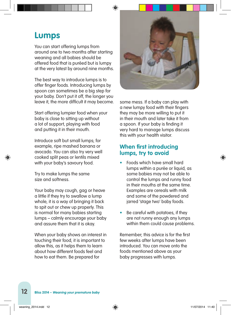### **Lumps**

You can start offering lumps from around one to two months after starting weaning and all babies should be offered food that is puréed but is lumpy at the very latest by around nine months.

The best way to introduce lumps is to offer finger foods. Introducing lumps by spoon can sometimes be a big step for your baby. Don't put it off, the longer you leave it, the more difficult it may become.

Start offering lumpier food when your baby is close to sitting up without a lot of support, playing with food and putting it in their mouth.

Introduce soft but small lumps; for example, ripe mashed banana or avocado. You can also try very well cooked split peas or lentils mixed with your baby's savoury food.

Try to make lumps the same size and softness.

Your baby may cough, gag or heave a little if they try to swallow a lump whole, it is a way of bringing it back to spit out or chew up properly. This is normal for many babies starting lumps – calmly encourage your baby and assure them that it is okay.

When your baby shows an interest in touching their food, it is important to allow this, as it helps them to learn about how different foods feel and how to eat them. Be prepared for



some mess. If a baby can play with a new lumpy food with their fingers they may be more willing to put it in their mouth and later take it from a spoon. If your baby is finding it very hard to manage lumps discuss this with your health visitor.

### **When first introducing lumps, try to avoid**

- Foods which have small hard lumps within a purée or liquid, as some babies may not be able to control the lumps and runny food in their mouths at the same time. Examples are cereals with milk and some of the powdered and jarred 'stage two' baby foods.
- Be careful with potatoes, if they are not runny enough any lumps within them could cause problems.

Remember; this advice is for the first few weeks after lumps have been introduced. You can move onto the foods mentioned above as your baby progresses with lumps.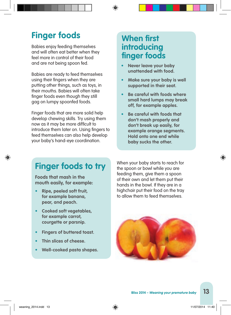## **Finger foods**

Babies enjoy feeding themselves and will often eat better when they feel more in control of their food and are not being spoon fed.

Babies are ready to feed themselves using their fingers when they are putting other things, such as toys, in their mouths. Babies will often take finger foods even though they still gag on lumpy spoonfed foods.

Finger foods that are more solid help develop chewing skills. Try using them now as it may be more difficult to introduce them later on. Using fingers to feed themselves can also help develop your baby's hand-eye coordination.

### **When first introducing finger foods**

- **• Never leave your baby unattended with food.**
- **• Make sure your baby is well supported in their seat.**
- **• Be careful with foods where small hard lumps may break off, for example apples.**
- **• Be careful with foods that don't mash properly and don't break up easily, for example orange segments. Hold onto one end while baby sucks the other.**

# **Finger foods to try**

**Foods that mash in the mouth easily, for example:**

- **• Ripe, peeled soft fruit, for example banana, pear, and peach.**
- **• Cooked soft vegetables, for example carrot, courgette or parsnip.**
- **• Fingers of buttered toast.**
- **• Thin slices of cheese.**
- **• Well-cooked pasta shapes.**

When your baby starts to reach for the spoon or bowl while you are feeding them, give them a spoon of their own and let them put their hands in the bowl. If they are in a highchair put their food on the tray to allow them to feed themselves.

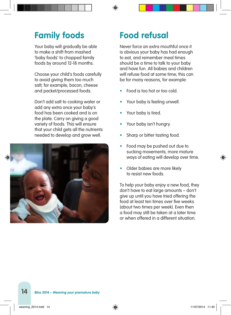# **Family foods**

Your baby will aradually be able to make a shift from mashed 'baby foods' to chopped family foods by around 12-18 months.

Choose your child's foods carefully to avoid giving them too much salt; for example, bacon, cheese and packet/processed foods.

Don't add salt to cooking water or add any extra once your baby's food has been cooked and is on the plate. Carry on giving a good variety of foods. This will ensure that your child gets all the nutrients needed to develop and grow well.



# **Food refusal**

Never force an extra mouthful once it is obvious your baby has had enough to eat, and remember meal times should be a time to talk to your baby and have fun. All babies and children will refuse food at some time; this can be for many reasons, for example:

- Food is too hot or too cold.
- Your baby is feeling unwell.
- Your baby is tired.
- Your baby isn't hungry.
- Sharp or bitter tasting food.
- Food may be pushed out due to sucking movements, more mature ways of eating will develop over time.
- Older babies are more likely to resist new foods.

To help your baby enjoy a new food, they don't have to eat large amounts – don't give up until you have tried offering the food at least ten times over five weeks (about two times per week). Even then a food may still be taken at a later time or when offered in a different situation.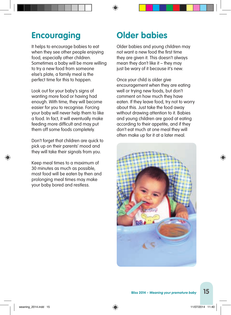### **Encouraging**

It helps to encourage babies to eat when they see other people enjoying food, especially other children. Sometimes a baby will be more willing to try a new food from someone else's plate, a family meal is the perfect time for this to happen.

Look out for your baby's signs of wanting more food or having had enough. With time, they will become easier for you to recognise. Forcing your baby will never help them to like a food. In fact, it will eventually make feeding more difficult and may put them off some foods completely.

Don't forget that children are quick to pick up on their parents' mood and they will take their signals from you.

Keep meal times to a maximum of 30 minutes as much as possible, most food will be eaten by then and prolonging meal times may make your baby bored and restless.

## **Older babies**

Older babies and young children may not want a new food the first time they are given it. This doesn't always mean they don't like it – they may just be wary of it because it's new.

Once your child is older give encouragement when they are eating well or trying new foods, but don't comment on how much they have eaten. If they leave food, try not to worry about this. Just take the food away without drawing attention to it. Babies and young children are good at eating according to their appetite, and if they don't eat much at one meal they will often make up for it at a later meal.

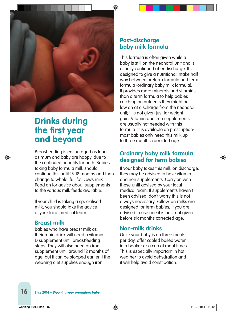

### **Drinks during the first year and beyond**

Breastfeeding is encouraged as long as mum and baby are happy, due to the continued benefits for both. Babies taking baby formula milk should continue this until 15-18 months and then change to whole (full fat) cows milk. Read on for advice about supplements to the various milk feeds available.

If your child is taking a specialised milk, you should take the advice of your local medical team.

#### **Breast milk**

Babies who have breast milk as their main drink will need a vitamin D supplement until breastfeeding stops. They will also need an iron supplement until around 12 months of age, but it can be stopped earlier if the weaning diet supplies enough iron.

### **Post-discharge baby milk formula**

This formula is often given while a baby is still on the neonatal unit and is usually continued after discharge. It is designed to give a nutritional intake half way between preterm formula and term formula (ordinary baby milk formula). It provides more minerals and vitamins than a term formula to help babies catch up on nutrients they might be low on at discharge from the neonatal unit; it is not given just for weight gain. Vitamin and iron supplements are usually not needed with this formula. It is available on prescription; most babies only need this milk up to three months corrected age.

### **Ordinary baby milk formula designed for term babies**

If your baby takes this milk on discharge, they may be advised to have vitamin and iron supplements. Carry on with these until advised by your local medical team. If supplements haven't been advised, don't worry this is not always necessary. Follow-on milks are designed for term babies, if you are advised to use one it is best not given before six months corrected age.

#### **Non-milk drinks**

Once your baby is on three meals per day, offer cooled boiled water in a beaker or a cup at meal times. This is especially important in hot weather to avoid dehydration and it will help avoid constipation.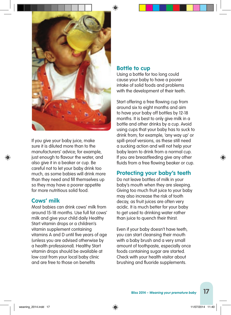

If you give your baby juice, make sure it is diluted more than to the manufacturers' advice; for example, just enough to flavour the water, and also give it in a beaker or cup. Be careful not to let your baby drink too much, as some babies will drink more than they need and fill themselves up so they may have a poorer appetite for more nutritious solid food.

#### **Cows' milk**

Most babies can drink cows' milk from around 15-18 months. Use full fat cows' milk and give your child daily Healthy Start vitamin drops or a children's vitamin supplement containing vitamins A and D until five years of age (unless you are advised otherwise by a health professional). Healthy Start vitamin drops should be available at low cost from your local baby clinic and are free to those on benefits

#### **Bottle to cup**

Using a bottle for too long could cause your baby to have a poorer intake of solid foods and problems with the development of their teeth.

Start offering a free flowing cup from around six to eight months and aim to have your baby off bottles by 12-18 months. It is best to only give milk in a bottle and other drinks by a cup. Avoid using cups that your baby has to suck to drink from; for example, 'any way up' or spill-proof versions, as these still need a sucking action and will not help your baby learn to drink from a normal cup. If you are breastfeeding give any other fluids from a free flowing beaker or cup.

### **Protecting your baby's teeth**

Do not leave bottles of milk in your baby's mouth when they are sleeping. Giving too much fruit juice to your baby may also increase the risk of tooth decay, as fruit juices are often very acidic. It is much better for your baby to get used to drinking water rather than juice to quench their thirst.

Even if your baby doesn't have teeth, you can start cleansing their mouth with a baby brush and a very small amount of toothpaste, especially once foods containing sugar are started. Check with your health visitor about brushing and fluoride supplements.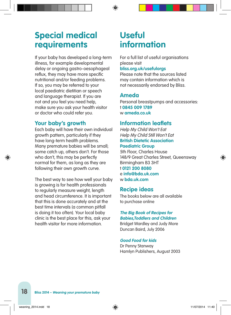### **Special medical requirements**

If your baby has developed a long-term illness, for example developmental delay or ongoing gastro-oesophageal reflux, they may have more specific nutritional and/or feeding problems. If so, you may be referred to your local paediatric dietitian or speech and language therapist. If you are not and you feel you need help, make sure you ask your health visitor or doctor who could refer you.

### **Your baby's growth**

Each baby will have their own individual growth pattern, particularly if they have long-term health problems. Many premature babies will be small; some catch up, others don't. For those who don't, this may be perfectly normal for them, as long as they are following their own growth curve.

The best way to see how well your baby is growing is for health professionals to regularly measure weight, length and head circumference. It is important that this is done accurately and at the best time intervals (a common pitfall is doing it too often). Your local baby clinic is the best place for this, ask your health visitor for more information.

## **Useful information**

For a full list of useful organisations please visit

#### **bliss.org.uk/usefulorgs**

Please note that the sources listed may contain information which is not necessarily endorsed by Bliss.

### **Ameda**

Personal breastpumps and accessories: t **0845 009 1789** w **ameda.co.uk**

### **Information leaflets**

Help My Child Won't Eat Help My Child Still Won't Eat **British Dietetic Association**

#### **Paediatric Group**

5th Floor, Charles House 148/9 Great Charles Street, Queensway Birmingham B3 3HT t **0121 200 8080**  e **info@bda.uk.com** w **bda.uk.com** 

### **Recipe ideas**

The books below are all available to purchase online

#### **The Big Book of Recipes for Babies,Toddlers and Children**

Bridget Wardley and Judy More Duncan Baird, July 2006

#### **Good Food for kids**

Dr Penny Stanway Hamlyn Publishers, August 2003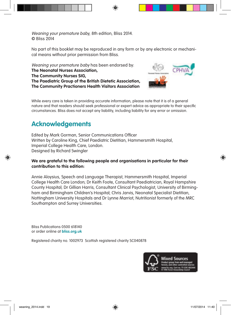Weaning your premature baby, 8th edition, Bliss 2014. © Bliss 2014

No part of this booklet may be reproduced in any form or by any electronic or mechanical means without prior permission from Bliss.

Weaning your premature baby has been endorsed by: **The Neonatal Nurses Association, The Community Nurses SIG, The Paediatric Group of the British Dietetic Association, The Community Practioners Health Visitors Association**



While every care is taken in providing accurate information, please note that it is of a general nature and that readers should seek professional or expert advice as appropriate to their specific circumstances. Bliss does not accept any liability, including liability for any error or omission.

### **Acknowledgements**

Edited by Mark Gorman, Senior Communications Officer Written by Caroline King, Chief Paediatric Dietitian, Hammersmith Hospital, Imperial College Health Care, London. Designed by Richard Swingler

#### **We are grateful to the following people and organisations in particular for their contribution to this edition:**

Annie Aloysius, Speech and Language Therapist, Hammersmith Hospital, Imperial College Health Care London; Dr Keith Foote, Consultant Paediatrician, Royal Hampshire County Hospital; Dr Gillian Harris, Consultant Clinical Psychologist, University of Birmingham and Birmingham Children's Hospital; Chris Jarvis, Neonatal Specialist Dietitian, Nottingham University Hospitals and Dr Lynne Marriot, Nutritionist formerly of the MRC Southampton and Surrey Universities.

Bliss Publications 0500 618140 or order online at **bliss.org.uk**

Registered charity no. 1002973 Scottish registered charity SC040878